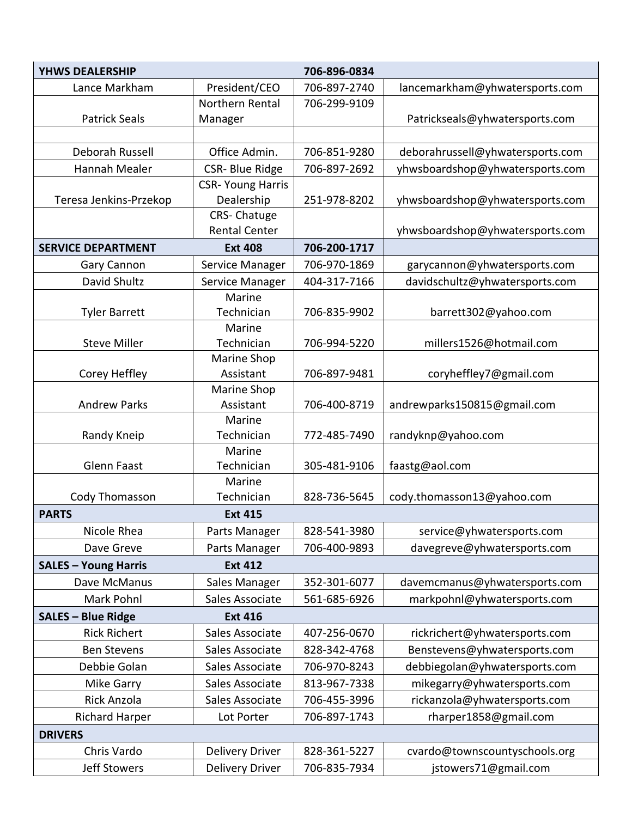| <b>YHWS DEALERSHIP</b>      |                          | 706-896-0834 |                                  |
|-----------------------------|--------------------------|--------------|----------------------------------|
| Lance Markham               | President/CEO            | 706-897-2740 | lancemarkham@yhwatersports.com   |
|                             | Northern Rental          | 706-299-9109 |                                  |
| <b>Patrick Seals</b>        | Manager                  |              | Patrickseals@yhwatersports.com   |
|                             |                          |              |                                  |
| Deborah Russell             | Office Admin.            | 706-851-9280 | deborahrussell@yhwatersports.com |
| Hannah Mealer               | <b>CSR-Blue Ridge</b>    | 706-897-2692 | yhwsboardshop@yhwatersports.com  |
|                             | <b>CSR- Young Harris</b> |              |                                  |
| Teresa Jenkins-Przekop      | Dealership               | 251-978-8202 | yhwsboardshop@yhwatersports.com  |
|                             | CRS-Chatuge              |              |                                  |
|                             | <b>Rental Center</b>     |              | yhwsboardshop@yhwatersports.com  |
| <b>SERVICE DEPARTMENT</b>   | <b>Ext 408</b>           | 706-200-1717 |                                  |
| Gary Cannon                 | Service Manager          | 706-970-1869 | garycannon@yhwatersports.com     |
| David Shultz                | Service Manager          | 404-317-7166 | davidschultz@yhwatersports.com   |
|                             | Marine                   |              |                                  |
| <b>Tyler Barrett</b>        | Technician               | 706-835-9902 | barrett302@yahoo.com             |
| <b>Steve Miller</b>         | Marine<br>Technician     | 706-994-5220 |                                  |
|                             | Marine Shop              |              | millers1526@hotmail.com          |
| Corey Heffley               | Assistant                | 706-897-9481 | coryheffley7@gmail.com           |
|                             | Marine Shop              |              |                                  |
| <b>Andrew Parks</b>         | Assistant                | 706-400-8719 | andrewparks150815@gmail.com      |
|                             | Marine                   |              |                                  |
| Randy Kneip                 | Technician               | 772-485-7490 | randyknp@yahoo.com               |
|                             | Marine                   |              |                                  |
| <b>Glenn Faast</b>          | Technician               | 305-481-9106 | faastg@aol.com                   |
|                             | Marine                   |              |                                  |
| Cody Thomasson              | Technician               | 828-736-5645 | cody.thomasson13@yahoo.com       |
| <b>PARTS</b>                | <b>Ext 415</b>           |              |                                  |
| Nicole Rhea                 | Parts Manager            | 828-541-3980 | service@yhwatersports.com        |
| Dave Greve                  | Parts Manager            | 706-400-9893 | davegreve@yhwatersports.com      |
| <b>SALES - Young Harris</b> | <b>Ext 412</b>           |              |                                  |
| Dave McManus                | Sales Manager            | 352-301-6077 | davemcmanus@yhwatersports.com    |
| Mark Pohnl                  | Sales Associate          | 561-685-6926 | markpohnl@yhwatersports.com      |
| <b>SALES - Blue Ridge</b>   | <b>Ext 416</b>           |              |                                  |
| <b>Rick Richert</b>         | Sales Associate          | 407-256-0670 | rickrichert@yhwatersports.com    |
| <b>Ben Stevens</b>          | Sales Associate          | 828-342-4768 | Benstevens@yhwatersports.com     |
| Debbie Golan                | Sales Associate          | 706-970-8243 | debbiegolan@yhwatersports.com    |
| Mike Garry                  | Sales Associate          | 813-967-7338 | mikegarry@yhwatersports.com      |
| <b>Rick Anzola</b>          | Sales Associate          | 706-455-3996 | rickanzola@yhwatersports.com     |
| <b>Richard Harper</b>       | Lot Porter               | 706-897-1743 | rharper1858@gmail.com            |
| <b>DRIVERS</b>              |                          |              |                                  |
| Chris Vardo                 | <b>Delivery Driver</b>   | 828-361-5227 | cvardo@townscountyschools.org    |
| Jeff Stowers                | Delivery Driver          | 706-835-7934 | jstowers71@gmail.com             |